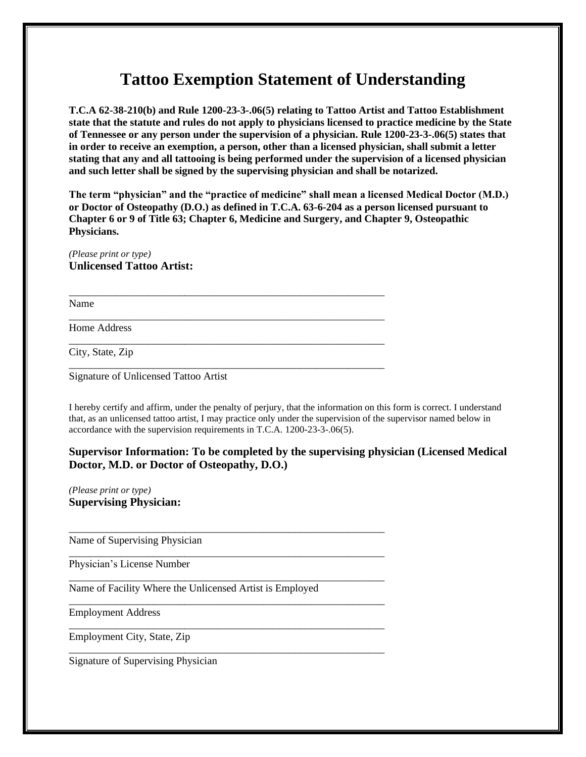## **Tattoo Exemption Statement of Understanding**

**T.C.A 62-38-210(b) and Rule 1200-23-3-.06(5) relating to Tattoo Artist and Tattoo Establishment state that the statute and rules do not apply to physicians licensed to practice medicine by the State of Tennessee or any person under the supervision of a physician. Rule 1200-23-3-.06(5) states that in order to receive an exemption, a person, other than a licensed physician, shall submit a letter stating that any and all tattooing is being performed under the supervision of a licensed physician and such letter shall be signed by the supervising physician and shall be notarized.**

**The term "physician" and the "practice of medicine" shall mean a licensed Medical Doctor (M.D.) or Doctor of Osteopathy (D.O.) as defined in T.C.A. 63-6-204 as a person licensed pursuant to Chapter 6 or 9 of Title 63; Chapter 6, Medicine and Surgery, and Chapter 9, Osteopathic Physicians.** 

\_\_\_\_\_\_\_\_\_\_\_\_\_\_\_\_\_\_\_\_\_\_\_\_\_\_\_\_\_\_\_\_\_\_\_\_\_\_\_\_\_\_\_\_\_\_\_\_\_\_\_\_\_\_\_\_\_\_\_\_

\_\_\_\_\_\_\_\_\_\_\_\_\_\_\_\_\_\_\_\_\_\_\_\_\_\_\_\_\_\_\_\_\_\_\_\_\_\_\_\_\_\_\_\_\_\_\_\_\_\_\_\_\_\_\_\_\_\_\_\_

\_\_\_\_\_\_\_\_\_\_\_\_\_\_\_\_\_\_\_\_\_\_\_\_\_\_\_\_\_\_\_\_\_\_\_\_\_\_\_\_\_\_\_\_\_\_\_\_\_\_\_\_\_\_\_\_\_\_\_\_

\_\_\_\_\_\_\_\_\_\_\_\_\_\_\_\_\_\_\_\_\_\_\_\_\_\_\_\_\_\_\_\_\_\_\_\_\_\_\_\_\_\_\_\_\_\_\_\_\_\_\_\_\_\_\_\_\_\_\_\_

\_\_\_\_\_\_\_\_\_\_\_\_\_\_\_\_\_\_\_\_\_\_\_\_\_\_\_\_\_\_\_\_\_\_\_\_\_\_\_\_\_\_\_\_\_\_\_\_\_\_\_\_\_\_\_\_\_\_\_\_

\_\_\_\_\_\_\_\_\_\_\_\_\_\_\_\_\_\_\_\_\_\_\_\_\_\_\_\_\_\_\_\_\_\_\_\_\_\_\_\_\_\_\_\_\_\_\_\_\_\_\_\_\_\_\_\_\_\_\_\_

\_\_\_\_\_\_\_\_\_\_\_\_\_\_\_\_\_\_\_\_\_\_\_\_\_\_\_\_\_\_\_\_\_\_\_\_\_\_\_\_\_\_\_\_\_\_\_\_\_\_\_\_\_\_\_\_\_\_\_\_

\_\_\_\_\_\_\_\_\_\_\_\_\_\_\_\_\_\_\_\_\_\_\_\_\_\_\_\_\_\_\_\_\_\_\_\_\_\_\_\_\_\_\_\_\_\_\_\_\_\_\_\_\_\_\_\_\_\_\_\_

\_\_\_\_\_\_\_\_\_\_\_\_\_\_\_\_\_\_\_\_\_\_\_\_\_\_\_\_\_\_\_\_\_\_\_\_\_\_\_\_\_\_\_\_\_\_\_\_\_\_\_\_\_\_\_\_\_\_\_\_

\_\_\_\_\_\_\_\_\_\_\_\_\_\_\_\_\_\_\_\_\_\_\_\_\_\_\_\_\_\_\_\_\_\_\_\_\_\_\_\_\_\_\_\_\_\_\_\_\_\_\_\_\_\_\_\_\_\_\_\_

*(Please print or type)* **Unlicensed Tattoo Artist:**

Name

Home Address

City, State, Zip

Signature of Unlicensed Tattoo Artist

I hereby certify and affirm, under the penalty of perjury, that the information on this form is correct. I understand that, as an unlicensed tattoo artist, I may practice only under the supervision of the supervisor named below in accordance with the supervision requirements in T.C.A. 1200-23-3-.06(5).

## **Supervisor Information: To be completed by the supervising physician (Licensed Medical Doctor, M.D. or Doctor of Osteopathy, D.O.)**

*(Please print or type)* **Supervising Physician:**

Name of Supervising Physician

Physician's License Number

Name of Facility Where the Unlicensed Artist is Employed

Employment Address

Employment City, State, Zip

Signature of Supervising Physician